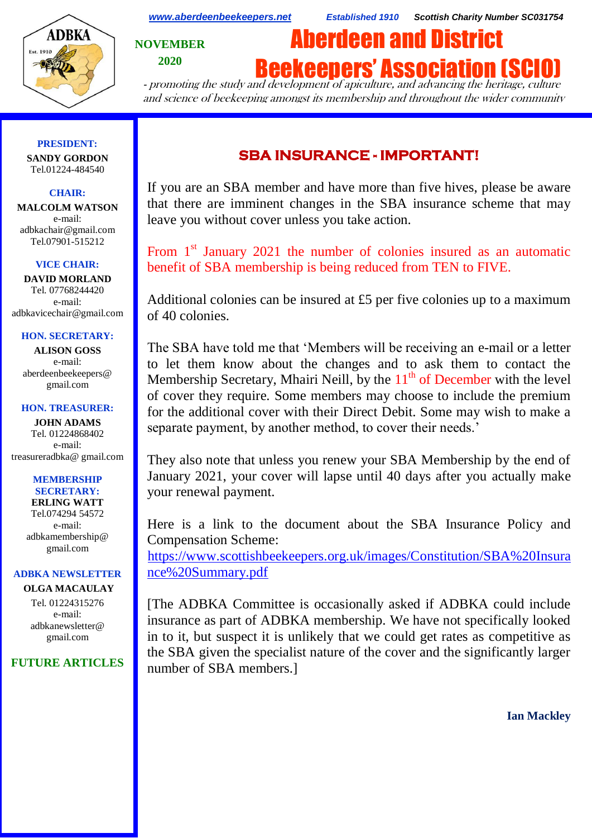

*[www.aberdeenbeekeepers.net](http://www.aberdeenbeekeepers.net/) Established 1910 Scottish Charity Number SC031754*

**NOVEMBER 2020**

# Aberdeen and District

**Beekeepers' Association (SC** 

- promoting the study and development of apiculture, and advancing the heritage, culture and science of beekeeping amongst its membership and throughout the wider community

#### **PRESIDENT: SANDY GORDON** Tel.01224-484540

# **CHAIR:**

**MALCOLM WATSON** e-mail: adbkachair@gmail.com Tel.07901-515212

## **VICE CHAIR:**

**DAVID MORLAND** Tel. 07768244420 e-mail: adbkavicechair@gmail.com

#### **HON. SECRETARY:**

**ALISON GOSS**  e-mail: aberdeenbeekeepers@ gmail.com

#### **HON. TREASURER:**

**JOHN ADAMS** Tel. 01224868402 e-mail: [treasureradbka@ gmail.com](https://e.mail.ru/compose/?mailto=mailto%3atreasureradbka@gmail.com)

#### **MEMBERSHIP SECRETARY:**

**ERLING WATT** Tel.074294 54572 e-mail: [adbkamembership@](mailto:watterlingg@aol.com) [gmail.com](mailto:watterlingg@aol.com)

# **ADBKA NEWSLETTER**

**OLGA MACAULAY** Tel. 01224315276 e-mail: adbkanewsletter@ gmail.com

# **FUTURE ARTICLES**

# **SBA INSURANCE - IMPORTANT!**

If you are an SBA member and have more than five hives, please be aware that there are imminent changes in the SBA insurance scheme that may leave you without cover unless you take action.

From  $1<sup>st</sup>$  January 2021 the number of colonies insured as an automatic benefit of SBA membership is being reduced from TEN to FIVE.

Additional colonies can be insured at £5 per five colonies up to a maximum of 40 colonies.

The SBA have told me that 'Members will be receiving an e-mail or a letter to let them know about the changes and to ask them to contact the Membership Secretary, Mhairi Neill, by the  $11<sup>th</sup>$  of December with the level of cover they require. Some members may choose to include the premium for the additional cover with their Direct Debit. Some may wish to make a separate payment, by another method, to cover their needs.'

They also note that unless you renew your SBA Membership by the end of January 2021, your cover will lapse until 40 days after you actually make your renewal payment.

Here is a link to the document about the SBA Insurance Policy and Compensation Scheme:

[https://www.scottishbeekeepers.org.uk/images/Constitution/SBA%20Insura](https://www.scottishbeekeepers.org.uk/images/Constitution/SBA%20Insurance%20Summary.pdf) [nce%20Summary.pdf](https://www.scottishbeekeepers.org.uk/images/Constitution/SBA%20Insurance%20Summary.pdf)

[The ADBKA Committee is occasionally asked if ADBKA could include insurance as part of ADBKA membership. We have not specifically looked in to it, but suspect it is unlikely that we could get rates as competitive as the SBA given the specialist nature of the cover and the significantly larger number of SBA members.]

**Ian Mackley**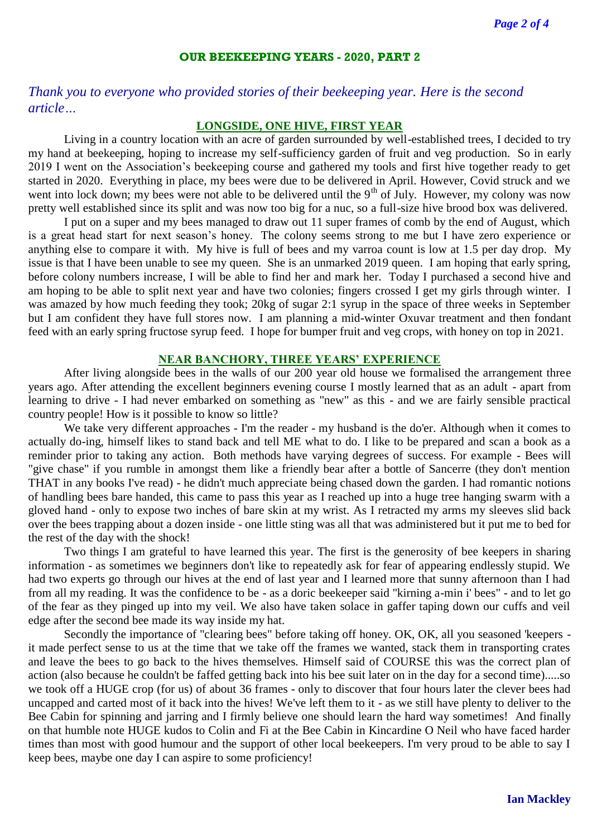# **OUR BEEKEEPING YEARS - 2020, PART 2**

*Thank you to everyone who provided stories of their beekeeping year. Here is the second article…*

#### **LONGSIDE, ONE HIVE, FIRST YEAR**

Living in a country location with an acre of garden surrounded by well-established trees, I decided to try my hand at beekeeping, hoping to increase my self-sufficiency garden of fruit and veg production. So in early 2019 I went on the Association's beekeeping course and gathered my tools and first hive together ready to get started in 2020. Everything in place, my bees were due to be delivered in April. However, Covid struck and we went into lock down; my bees were not able to be delivered until the 9<sup>th</sup> of July. However, my colony was now pretty well established since its split and was now too big for a nuc, so a full-size hive brood box was delivered.

I put on a super and my bees managed to draw out 11 super frames of comb by the end of August, which is a great head start for next season's honey. The colony seems strong to me but I have zero experience or anything else to compare it with. My hive is full of bees and my varroa count is low at 1.5 per day drop. My issue is that I have been unable to see my queen. She is an unmarked 2019 queen. I am hoping that early spring, before colony numbers increase, I will be able to find her and mark her. Today I purchased a second hive and am hoping to be able to split next year and have two colonies; fingers crossed I get my girls through winter. I was amazed by how much feeding they took; 20kg of sugar 2:1 syrup in the space of three weeks in September but I am confident they have full stores now. I am planning a mid-winter Oxuvar treatment and then fondant feed with an early spring fructose syrup feed. I hope for bumper fruit and veg crops, with honey on top in 2021.

# **NEAR BANCHORY, THREE YEARS' EXPERIENCE**

After living alongside bees in the walls of our 200 year old house we formalised the arrangement three years ago. After attending the excellent beginners evening course I mostly learned that as an adult - apart from learning to drive - I had never embarked on something as "new" as this - and we are fairly sensible practical country people! How is it possible to know so little?

We take very different approaches - I'm the reader - my husband is the do'er. Although when it comes to actually do-ing, himself likes to stand back and tell ME what to do. I like to be prepared and scan a book as a reminder prior to taking any action. Both methods have varying degrees of success. For example - Bees will "give chase" if you rumble in amongst them like a friendly bear after a bottle of Sancerre (they don't mention THAT in any books I've read) - he didn't much appreciate being chased down the garden. I had romantic notions of handling bees bare handed, this came to pass this year as I reached up into a huge tree hanging swarm with a gloved hand - only to expose two inches of bare skin at my wrist. As I retracted my arms my sleeves slid back over the bees trapping about a dozen inside - one little sting was all that was administered but it put me to bed for the rest of the day with the shock!

Two things I am grateful to have learned this year. The first is the generosity of bee keepers in sharing information - as sometimes we beginners don't like to repeatedly ask for fear of appearing endlessly stupid. We had two experts go through our hives at the end of last year and I learned more that sunny afternoon than I had from all my reading. It was the confidence to be - as a doric beekeeper said "kirning a-min i' bees" - and to let go of the fear as they pinged up into my veil. We also have taken solace in gaffer taping down our cuffs and veil edge after the second bee made its way inside my hat.

Secondly the importance of "clearing bees" before taking off honey. OK, OK, all you seasoned 'keepers it made perfect sense to us at the time that we take off the frames we wanted, stack them in transporting crates and leave the bees to go back to the hives themselves. Himself said of COURSE this was the correct plan of action (also because he couldn't be faffed getting back into his bee suit later on in the day for a second time).....so we took off a HUGE crop (for us) of about 36 frames - only to discover that four hours later the clever bees had uncapped and carted most of it back into the hives! We've left them to it - as we still have plenty to deliver to the Bee Cabin for spinning and jarring and I firmly believe one should learn the hard way sometimes! And finally on that humble note HUGE kudos to Colin and Fi at the Bee Cabin in Kincardine O Neil who have faced harder times than most with good humour and the support of other local beekeepers. I'm very proud to be able to say I keep bees, maybe one day I can aspire to some proficiency!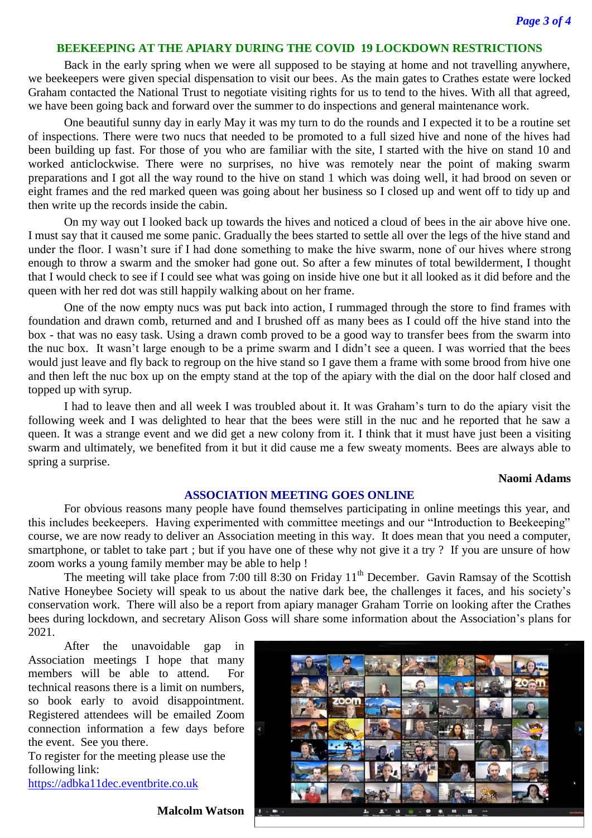#### **BEEKEEPING AT THE APIARY DURING THE COVID 19 LOCKDOWN RESTRICTIONS**

Back in the early spring when we were all supposed to be staying at home and not travelling anywhere, we beekeepers were given special dispensation to visit our bees. As the main gates to Crathes estate were locked Graham contacted the National Trust to negotiate visiting rights for us to tend to the hives. With all that agreed, we have been going back and forward over the summer to do inspections and general maintenance work.

One beautiful sunny day in early May it was my turn to do the rounds and I expected it to be a routine set of inspections. There were two nucs that needed to be promoted to a full sized hive and none of the hives had been building up fast. For those of you who are familiar with the site, I started with the hive on stand 10 and worked anticlockwise. There were no surprises, no hive was remotely near the point of making swarm preparations and I got all the way round to the hive on stand 1 which was doing well, it had brood on seven or eight frames and the red marked queen was going about her business so I closed up and went off to tidy up and then write up the records inside the cabin.

On my way out I looked back up towards the hives and noticed a cloud of bees in the air above hive one. I must say that it caused me some panic. Gradually the bees started to settle all over the legs of the hive stand and under the floor. I wasn't sure if I had done something to make the hive swarm, none of our hives where strong enough to throw a swarm and the smoker had gone out. So after a few minutes of total bewilderment, I thought that I would check to see if I could see what was going on inside hive one but it all looked as it did before and the queen with her red dot was still happily walking about on her frame.

One of the now empty nucs was put back into action, I rummaged through the store to find frames with foundation and drawn comb, returned and and I brushed off as many bees as I could off the hive stand into the box - that was no easy task. Using a drawn comb proved to be a good way to transfer bees from the swarm into the nuc box. It wasn't large enough to be a prime swarm and I didn't see a queen. I was worried that the bees would just leave and fly back to regroup on the hive stand so I gave them a frame with some brood from hive one and then left the nuc box up on the empty stand at the top of the apiary with the dial on the door half closed and topped up with syrup.

I had to leave then and all week I was troubled about it. It was Graham's turn to do the apiary visit the following week and I was delighted to hear that the bees were still in the nuc and he reported that he saw a queen. It was a strange event and we did get a new colony from it. I think that it must have just been a visiting swarm and ultimately, we benefited from it but it did cause me a few sweaty moments. Bees are always able to spring a surprise.

#### **Naomi Adams**

# **ASSOCIATION MEETING GOES ONLINE**

For obvious reasons many people have found themselves participating in online meetings this year, and this includes beekeepers. Having experimented with committee meetings and our "Introduction to Beekeeping" course, we are now ready to deliver an Association meeting in this way. It does mean that you need a computer, smartphone, or tablet to take part ; but if you have one of these why not give it a try ? If you are unsure of how zoom works a young family member may be able to help !

The meeting will take place from 7:00 till 8:30 on Friday 11<sup>th</sup> December. Gavin Ramsay of the Scottish Native Honeybee Society will speak to us about the native dark bee, the challenges it faces, and his society's conservation work. There will also be a report from apiary manager Graham Torrie on looking after the Crathes bees during lockdown, and secretary Alison Goss will share some information about the Association's plans for 2021.

After the unavoidable gap in Association meetings I hope that many members will be able to attend. For technical reasons there is a limit on numbers, so book early to avoid disappointment. Registered attendees will be emailed Zoom connection information a few days before the event. See you there.

To register for the meeting please use the following link:

[https://adbka11dec.eventbrite.co.uk](https://adbka11dec.eventbrite.co.uk/)



**Malcolm Watson**